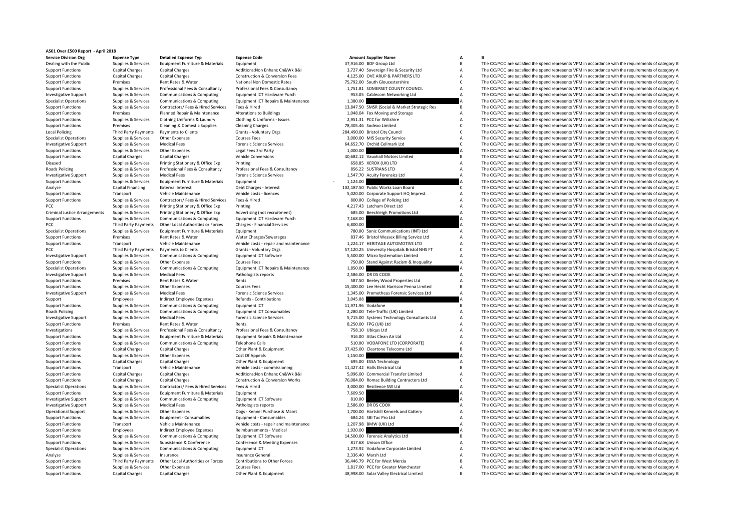## **AS01 Over £500 Report ‐ April 2018**

| <b>Service Division Org</b>                                  | <b>Expense Type</b>                | <b>Detailed Expense Typ</b>                      | <b>Expense Code</b>                        |          | <b>Amount Supplier Name</b>                   | А                                | B                                                                                                                                                                                                          |
|--------------------------------------------------------------|------------------------------------|--------------------------------------------------|--------------------------------------------|----------|-----------------------------------------------|----------------------------------|------------------------------------------------------------------------------------------------------------------------------------------------------------------------------------------------------------|
| Dealing with the Public                                      | Supplies & Services                | Equipment Furniture & Materials                  | Equipment                                  |          | 37,916.00 BOF Group Ltd                       | B                                | The CC/PCC are satisfied the spend represents VFM in accordance with the requirements of category B                                                                                                        |
| <b>Support Functions</b>                                     | Capital Charges                    | <b>Capital Charges</b>                           | Additions: Non Enhanc Cn&Wk B&I            |          | 3,727.40 Sovereign Fire & Security Ltd        | $\overline{A}$                   | The CC/PCC are satisfied the spend represents VFM in accordance with the requirements of category A                                                                                                        |
| <b>Support Functions</b>                                     | <b>Capital Charges</b>             | <b>Capital Charges</b>                           | Construction & Conversion Fees             |          | 4,125.00 OVE ARUP & PARTNERS LTD              | $\overline{A}$                   | The CC/PCC are satisfied the spend represents VFM in accordance with the requirements of category A                                                                                                        |
| <b>Support Functions</b>                                     | Premises                           | Rent Rates & Water                               | National Non Domestic Rates                |          | 75.792.00 South Gloucestershire               | $\mathsf{C}$                     | The CC/PCC are satisfied the spend represents VFM in accordance with the requirements of category C                                                                                                        |
| <b>Support Functions</b>                                     | Supplies & Services                | Professional Fees & Consultancy                  | Professional Fees & Consultancy            |          | 1,751.81 SOMERSET COUNTY COUNCIL              | $\overline{A}$                   | The CC/PCC are satisfied the spend represents VFM in accordance with the requirements of category A                                                                                                        |
| <b>Investigative Support</b>                                 | Supplies & Services                | Communications & Computing                       | Equipment ICT Hardware Purch               |          | 953.05 Cablecom Networking Ltd                | $\overline{A}$                   | The CC/PCC are satisfied the spend represents VFM in accordance with the requirements of category A                                                                                                        |
| <b>Specialist Operations</b>                                 | Supplies & Services                | Communications & Computing                       | Equipment ICT Repairs & Maintenance        | 1,380.00 |                                               |                                  | The CC/PCC are satisfied the spend represents VFM in accordance with the requirements of category A                                                                                                        |
| <b>Support Functions</b>                                     | Supplies & Services                | Contractors/ Fees & Hired Services               | Fees & Hired                               |          | 13,847.50 SMSR (Social & Market Strategic Res | <b>B</b>                         | The CC/PCC are satisfied the spend represents VFM in accordance with the requirements of category B                                                                                                        |
| <b>Support Functions</b>                                     | Premises                           | Planned Repair & Maintenance                     | <b>Alterations to Buildings</b>            |          | 1,048.04 Fox Moving and Storage               | $\overline{A}$                   | The CC/PCC are satisfied the spend represents VFM in accordance with the requirements of category A                                                                                                        |
| <b>Support Functions</b>                                     | Supplies & Services                | Clothing Uniforms & Laundry                      | Clothing & Uniforms - Issues               |          | 2,951.31 PCC for Wiltshire                    | $\overline{A}$                   | The CC/PCC are satisfied the spend represents VFM in accordance with the requirements of category A                                                                                                        |
| <b>Support Functions</b>                                     | Premises                           | Cleaning & Domestic Supplies                     | <b>Cleaning Charges</b>                    |          | 78,305.46 Sodexo Limited                      | C                                | The CC/PCC are satisfied the spend represents VFM in accordance with the requirements of category C                                                                                                        |
| <b>Local Policing</b>                                        | Third Party Payments               | Payments to Clients                              | Grants - Voluntary Orgs                    |          | 284,490.00 Bristol City Council               | $\mathsf{C}$                     | The CC/PCC are satisfied the spend represents VFM in accordance with the requirements of category C                                                                                                        |
| <b>Specialist Operations</b>                                 | Supplies & Services                | Other Expenses                                   | <b>Courses Fees</b>                        |          | 3,000.00 MI5 Security Service                 | A                                | The CC/PCC are satisfied the spend represents VFM in accordance with the requirements of category A                                                                                                        |
| <b>Investigative Support</b>                                 | Supplies & Services                | <b>Medical Fees</b>                              | <b>Forensic Science Services</b>           |          | 64.652.70 Orchid Cellmark Ltd                 | $\mathsf{C}$                     | The CC/PCC are satisfied the spend represents VFM in accordance with the requirements of category C                                                                                                        |
| <b>Support Functions</b>                                     | Supplies & Services                | Other Expenses                                   | Legal Fees 3rd Party                       | 1,000.00 |                                               |                                  | The CC/PCC are satisfied the spend represents VFM in accordance with the requirements of category A                                                                                                        |
| <b>Support Functions</b>                                     | Capital Charges                    | <b>Capital Charges</b>                           | <b>Vehicle Conversions</b>                 |          | 40,682.12 Vauxhall Motors Limited             |                                  | The CC/PCC are satisfied the spend represents VFM in accordance with the requirements of category B                                                                                                        |
| Disused                                                      | Supplies & Services                | Printing Stationery & Office Exp                 | Printing                                   |          | 658.85 XEROX (UK) LTD                         | $\overline{A}$                   | The CC/PCC are satisfied the spend represents VFM in accordance with the requirements of category A                                                                                                        |
| Roads Policing                                               | Supplies & Services                | Professional Fees & Consultancy                  | Professional Fees & Consultancy            |          | 856.22 SUSTRANS LTD                           | $\overline{A}$                   | The CC/PCC are satisfied the spend represents VFM in accordance with the requirements of category A                                                                                                        |
| <b>Investigative Support</b>                                 | Supplies & Services                | <b>Medical Fees</b>                              | <b>Forensic Science Services</b>           |          | 1,547.70 Acuity Forensics Ltd                 | $\overline{A}$                   | The CC/PCC are satisfied the spend represents VFM in accordance with the requirements of category A                                                                                                        |
| <b>Support Functions</b>                                     | Supplies & Services                | Equipment Furniture & Materials                  | Equipment                                  | 1,124.00 |                                               |                                  | The CC/PCC are satisfied the spend represents VFM in accordance with the requirements of category A                                                                                                        |
| Analyse                                                      | Capital Financing                  | <b>External Interest</b>                         | Debt Charges - Interest                    |          | 102,187.50 Public Works Loan Board            | C                                | The CC/PCC are satisfied the spend represents VFM in accordance with the requirements of category C                                                                                                        |
| <b>Support Functions</b>                                     | Transport                          | Vehicle Maintenance                              | Vehicle costs - licences                   |          | 5,020.00 Corporate Support HQ Imprest         | $\overline{A}$                   | The CC/PCC are satisfied the spend represents VFM in accordance with the requirements of category A                                                                                                        |
| <b>Support Functions</b>                                     | Supplies & Services                | Contractors/ Fees & Hired Services               | Fees & Hired                               |          | 800.00 College of Policing Ltd                | $\overline{A}$                   | The CC/PCC are satisfied the spend represents VFM in accordance with the requirements of category A                                                                                                        |
| PCC                                                          | Supplies & Services                | Printing Stationery & Office Exp                 | Printing                                   |          | 4.217.43 Latcham Direct Ltd                   | $\overline{A}$                   | The CC/PCC are satisfied the spend represents VFM in accordance with the requirements of category A                                                                                                        |
| <b>Criminal Justice Arrangements</b>                         | Supplies & Services                | Printing Stationery & Office Exp                 | Advertising (not recruitment)              |          | 685.00 Beechleigh Promotions Ltd              | $\overline{A}$                   | The CC/PCC are satisfied the spend represents VFM in accordance with the requirements of category A                                                                                                        |
| <b>Support Functions</b>                                     | Supplies & Services                | Communications & Computing                       | Equipment ICT Hardware Purch               | 7.168.00 |                                               |                                  | The CC/PCC are satisfied the spend represents VFM in accordance with the requirements of category A                                                                                                        |
| <b>PCC</b>                                                   | Third Party Payments               | Other Local Authorities or Forces                | Charges - Financial Services               | 6.800.00 |                                               |                                  | The CC/PCC are satisfied the spend represents VFM in accordance with the requirements of category A                                                                                                        |
| <b>Specialist Operations</b>                                 | Supplies & Services                | Equipment Furniture & Materials                  | Equipment                                  |          | 780.00 Sonic Communications (INT) Ltd         | $\overline{A}$                   | The CC/PCC are satisfied the spend represents VFM in accordance with the requirements of category A                                                                                                        |
| <b>Support Functions</b>                                     | Premises                           | Rent Rates & Water                               | Water Charges/Sewerages                    |          | 837.46 Bristol Wessex Billing Service Ltd     | $\overline{A}$                   | The CC/PCC are satisfied the spend represents VFM in accordance with the requirements of category A                                                                                                        |
| <b>Support Functions</b>                                     | Transport                          | Vehicle Maintenance                              | Vehicle costs - repair and maintenance     |          | 1.224.17 HERITAGE AUTOMOTIVE LTD              | $\overline{A}$                   | The CC/PCC are satisfied the spend represents VFM in accordance with the requirements of category A                                                                                                        |
| PCC                                                          | Third Party Payments               | Payments to Clients                              | Grants - Voluntary Orgs                    |          | 57,120.25 University Hospitals Bristol NHS FT | $\mathsf{C}$                     | The CC/PCC are satisfied the spend represents VFM in accordance with the requirements of category C                                                                                                        |
| <b>Investigative Support</b>                                 | Supplies & Services                | Communications & Computing                       | Equipment ICT Software                     |          | 5,500.00 Micro Systemation Limited            | $\overline{A}$                   | The CC/PCC are satisfied the spend represents VFM in accordance with the requirements of category A                                                                                                        |
| <b>Support Functions</b>                                     | Supplies & Services                | Other Expenses                                   | <b>Courses Fees</b>                        |          | 750.00 Stand Against Racism & Inequality      | $\overline{A}$                   | The CC/PCC are satisfied the spend represents VFM in accordance with the requirements of category A                                                                                                        |
| <b>Specialist Operations</b>                                 | Supplies & Services                | Communications & Computing                       | Equipment ICT Repairs & Maintenance        | 1,850.00 |                                               |                                  | The CC/PCC are satisfied the spend represents VFM in accordance with the requirements of category A                                                                                                        |
| <b>Investigative Support</b>                                 | Supplies & Services                | <b>Medical Fees</b>                              | Pathologists reports                       |          | 2,586.00 DR DS COOK                           | А                                | The CC/PCC are satisfied the spend represents VFM in accordance with the requirements of category A                                                                                                        |
| <b>Support Functions</b>                                     | Premises                           | Rent Rates & Water                               | Rents                                      |          | 587.50 Beeley Wood Properties Ltd             | $\overline{A}$                   | The CC/PCC are satisfied the spend represents VFM in accordance with the requirements of category A                                                                                                        |
| <b>Support Functions</b>                                     | Supplies & Services                | Other Expenses                                   | <b>Courses Fees</b>                        |          | 15,400.00 Lee Hecht Harrison Penna Limited    | $\overline{B}$                   | The CC/PCC are satisfied the spend represents VFM in accordance with the requirements of category B                                                                                                        |
| <b>Investigative Support</b>                                 | Supplies & Services                | <b>Medical Fees</b>                              | <b>Forensic Science Services</b>           |          | 1,345.00 Prometheus Forensic Services Ltd     | $\overline{A}$                   | The CC/PCC are satisfied the spend represents VFM in accordance with the requirements of category A                                                                                                        |
| Support                                                      | Employees                          | Indirect Employee Expenses                       | Refunds - Contributions                    | 3,045.88 |                                               |                                  | The CC/PCC are satisfied the spend represents VFM in accordance with the requirements of category A                                                                                                        |
| <b>Support Functions</b>                                     | Supplies & Services                | Communications & Computing                       | Equipment ICT                              |          | 11,971.96 Vodafone                            | B                                | The CC/PCC are satisfied the spend represents VFM in accordance with the requirements of category B                                                                                                        |
| Roads Policing                                               | Supplies & Services                | Communications & Computing                       | <b>Equipment ICT Consumables</b>           |          | 2,280.00 Tele-Traffic (UK) Limited            | A                                | The CC/PCC are satisfied the spend represents VFM in accordance with the requirements of category A                                                                                                        |
| <b>Investigative Support</b>                                 | Supplies & Services                | <b>Medical Fees</b>                              | <b>Forensic Science Services</b>           |          | 5,715.00 Systems Technology Consultants Ltd   | $\overline{A}$                   | The CC/PCC are satisfied the spend represents VFM in accordance with the requirements of category A                                                                                                        |
| <b>Support Functions</b>                                     | Premises                           | Rent Rates & Water                               | Rents                                      |          | 8,250.00 FPG (UK) Ltd                         | $\overline{A}$                   | The CC/PCC are satisfied the spend represents VFM in accordance with the requirements of category A                                                                                                        |
| Investigations                                               | Supplies & Services                | Professional Fees & Consultancy                  | Professional Fees & Consultancy            |          | 758.10 Ubiqus Ltd                             | $\overline{A}$                   | The CC/PCC are satisfied the spend represents VFM in accordance with the requirements of category A                                                                                                        |
| <b>Support Functions</b>                                     | Supplies & Services                | Equipment Furniture & Materials                  | Equipment Repairs & Maintenance            |          | 916.00 Atlas Clean Air Ltd                    | $\overline{A}$                   | The CC/PCC are satisfied the spend represents VFM in accordance with the requirements of category A                                                                                                        |
| <b>Support Functions</b>                                     | Supplies & Services                | Communications & Computing                       | <b>Telephone Calls</b>                     |          | 510.00 VODAFONE LTD (CORPORATE)               | $\overline{A}$<br>$\overline{B}$ | The CC/PCC are satisfied the spend represents VFM in accordance with the requirements of category A                                                                                                        |
| <b>Support Functions</b>                                     | Capital Charges                    | <b>Capital Charges</b>                           | Other Plant & Equipment                    |          | 37,425.00 Cleartone Telecoms Ltd              |                                  | The CC/PCC are satisfied the spend represents VFM in accordance with the requirements of category B                                                                                                        |
| <b>Support Functions</b>                                     | Supplies & Services                | Other Expenses<br><b>Capital Charges</b>         | Cost Of Appeals<br>Other Plant & Equipment | 1,150.00 | 695.00 ESSA Technology                        | $\overline{A}$                   | The CC/PCC are satisfied the spend represents VFM in accordance with the requirements of category A<br>The CC/PCC are satisfied the spend represents VFM in accordance with the requirements of category A |
| <b>Support Functions</b>                                     | Capital Charges                    | Vehicle Maintenance                              | Vehicle costs - commissioning              |          | 11,427.42 Halls Electrical Ltd                | $\overline{B}$                   | The CC/PCC are satisfied the spend represents VFM in accordance with the requirements of category B                                                                                                        |
| <b>Support Functions</b>                                     | Transport                          |                                                  | Additions: Non Enhanc Cn&Wk B&I            |          | 5,096.00 Commercial Transfer Limited          | $\overline{A}$                   |                                                                                                                                                                                                            |
| <b>Support Functions</b><br><b>Support Functions</b>         | Capital Charges<br>Capital Charges | <b>Capital Charges</b><br><b>Capital Charges</b> | <b>Construction &amp; Conversion Works</b> |          | 76,084.00 Romac Building Contractors Ltd      | $\mathsf{C}$                     | The CC/PCC are satisfied the spend represents VFM in accordance with the requirements of category A<br>The CC/PCC are satisfied the spend represents VFM in accordance with the requirements of category C |
| <b>Specialist Operations</b>                                 | Supplies & Services                | Contractors/ Fees & Hired Services               | Fees & Hired                               |          | 3,000.00 Resilience SW Ltd                    | $\overline{A}$                   | The CC/PCC are satisfied the spend represents VFM in accordance with the requirements of category A                                                                                                        |
| <b>Support Functions</b>                                     | Supplies & Services                | Equipment Furniture & Materials                  | Equipment                                  | 7,609.50 |                                               |                                  | The CC/PCC are satisfied the spend represents VFM in accordance with the requirements of category A                                                                                                        |
|                                                              | Supplies & Services                | Communications & Computing                       | Equipment ICT Software                     | 810.00   |                                               |                                  | The CC/PCC are satisfied the spend represents VFM in accordance with the requirements of category A                                                                                                        |
| <b>Investigative Support</b><br><b>Investigative Support</b> | Supplies & Services                | <b>Medical Fees</b>                              | Pathologists reports                       |          | 2,586.00 DR DS COOK                           |                                  | The CC/PCC are satisfied the spend represents VFM in accordance with the requirements of category A                                                                                                        |
| <b>Operational Support</b>                                   | Supplies & Services                | Other Expenses                                   | Dogs - Kennel Purchase & Maint             |          | 1,700.00 Hartshill Kennels and Cattery        | $\overline{A}$                   | The CC/PCC are satisfied the spend represents VFM in accordance with the requirements of category A                                                                                                        |
| <b>Support Functions</b>                                     | Supplies & Services                | Equipment - Consumables                          | Equipment - Consumables                    |          | 684.24 SBI Tac Pro Ltd                        | $\overline{A}$                   | The CC/PCC are satisfied the spend represents VFM in accordance with the requirements of category A                                                                                                        |
| <b>Support Functions</b>                                     | Transport                          | Vehicle Maintenance                              | Vehicle costs - repair and maintenance     |          | 1,207.98 BMW (UK) Ltd                         | $\overline{A}$                   | The CC/PCC are satisfied the spend represents VFM in accordance with the requirements of category A                                                                                                        |
| <b>Support Functions</b>                                     | Employees                          | Indirect Employee Expenses                       | Reimbursements - Medical                   | 1,920.00 |                                               |                                  | The CC/PCC are satisfied the spend represents VFM in accordance with the requirements of category A                                                                                                        |
| <b>Support Functions</b>                                     | Supplies & Services                | Communications & Computing                       | Equipment ICT Software                     |          | 14,500.00 Forensic Analytics Ltd              | B <sub>1</sub>                   | The CC/PCC are satisfied the spend represents VFM in accordance with the requirements of category B                                                                                                        |
| <b>Support Functions</b>                                     | Supplies & Services                | Subsistence & Conference                         | Conference & Meeting Expenses              |          | 817.68 Unison Office                          | A                                | The CC/PCC are satisfied the spend represents VFM in accordance with the requirements of category A                                                                                                        |
| <b>Specialist Operations</b>                                 | Supplies & Services                | Communications & Computing                       | Equipment ICT                              |          | 1,273.92 Vodafone Corporate Limited           | $\overline{A}$                   | The CC/PCC are satisfied the spend represents VFM in accordance with the requirements of category A                                                                                                        |
| Analyse                                                      | Supplies & Services                | Insurance                                        | <b>Insurance General</b>                   |          | 2,336.40 Marsh Ltd                            | $\overline{A}$                   | The CC/PCC are satisfied the spend represents VFM in accordance with the requirements of category A                                                                                                        |
| <b>Support Functions</b>                                     | Third Party Payments               | Other Local Authorities or Forces                | Contributions to Other Forces              |          | 36,446.79 PCC for West Mercia                 | $\overline{B}$                   | The CC/PCC are satisfied the spend represents VFM in accordance with the requirements of category B                                                                                                        |
| <b>Support Functions</b>                                     | Supplies & Services                | Other Expenses                                   | <b>Courses Fees</b>                        |          | 1,817.00 PCC for Greater Manchester           | $\overline{A}$                   | The CC/PCC are satisfied the spend represents VFM in accordance with the requirements of category A                                                                                                        |
| <b>Support Functions</b>                                     | Capital Charges                    | <b>Capital Charges</b>                           | Other Plant & Equipment                    |          | 48,998.00 Solar Valley Electrical Limited     | $\overline{B}$                   | The CC/PCC are satisfied the spend represents VFM in accordance with the requirements of category B                                                                                                        |
|                                                              |                                    |                                                  |                                            |          |                                               |                                  |                                                                                                                                                                                                            |

## Dealing with the Public Supplies & Services Equipment Furniture & Materials Equipment Equipment Equipment and the equipment and the equipment and the spend of the CC/PCC are satisfied the spend represents VFM in accordance Support Functions Capital Charges Capital Charges Additions:Non Enhanc Cn&Wk B&I 3,727.40 Sovereign Fire & Security Ltd A The CC/PCC are satisfied the spend represents VFM in accordance with the requirements of category A The CC/PCC are satisfied the spend represents VFM in accordance with the requirements of category A Support Functions Premises Rent Rates & Water National Non Domestic Rates 75,792.00 South Gloucestershire C The CC/PCC are satisfied the spend represents VFM in accordance with the requirements of category C Support Functions Supplies & Services Professional Fees & Consultancy Professional Fees & Consultancy Professional Fees & Consultancy Consultancy 1,751.81 SOMERSET COUNTY COUNCIL A The CC/PCC are satisfied the spend repres Investigative Sunort sunofies & Services Communications & Communications and Communications of categony A communications are communications are communications are communications are communications are communications are co Specialist Operations Supplies & Services Communications & Computing Equipment ICT Repairs & Maintenance 1,380.00 A The CC/PCC are satisfied the spend represents VFM in accordance with the requirements of category A Support Functions Supplies & Services Contractors/ Fees & Hired Services Fees & Hired 1978 Frank Michael 13,847.50 SMSR (Social & Market Strategic Res Research PRE CC/PCC are satisfied the spend represents VFM in accordanc Support Functions Premises Planned Repair & Maintenance Alterations to Buildings 1,048.04 Fox Moving and Storage A The CC/PCC are satisfied the spend represents VFM in accordance with the requirements of category A Support Functions Support Clothing Uniforms & Laundry Clothing & Uniforms - Issues 2,951.31 PCC for Wiltshire A The CC/PCC are satisfied the spend represents VFM in accordance with the requirements of category A Support Functions Premises Cleaning & Domestic Supplies Cleaning Charges 78,305.46 Sodexo Limited C The CC/PCC are satisfied the spend represents VFM in accordance with the requirements of category C Policing Third Party Payments to Clients Crants - Voluntary Orgs 284,490.00 Bristol City Council C The CC/PCC are satisfied the spend represents VFM in accordance with the requirements of category C are satisfied the spend Specialist Operations Supplies & Services Other Expenses Courses Fees Courses Fees 3,000.00 MI5 Security Service A The CC/PCC are satisfied the spend represents VFM in accordance with the requirements of category A Investigative Support Supplies & Services Medical Fees Forensic Science Services Forensic Science Services 64,652.70 Orchid Cellmark Ltd C The CC/PCC are satisfied the spend represents VFM in accordance with the requiremen Support Functions Supplies & Services Other Expenses Legal Fees 3rd Party 1,000.00 A The CC/PCC are satisfied the spend represents VFM in accordance with the requirements of category A Support Functions Capital Charges Capital Charges Vehicle Conversions 40,682.12 Vauxhall Motors Limited B The CC/PCC are satisfied the spend represents VFM in accordance with the requirements of category B Disused Supplies & Services Printing Stationery & Office Exp Printing Printing 658.85 XEROX (UK) LTD A The CC/PCC are satisfied the spend represents VFM in accordance with the requirements of category A Poplies & Services Professional Fees & Consultancy Professional Fees & Consultancy Professional Fees & Consultancy 856.22 SUSTRANS LTD A The CC/PCC are satisfied the spend represents VFM in accordance with the requirements Investigative Support Supplies & Services Medical Fees Forensit Forensic Science Services Forensic Science Services 1,547.70 Acuity Forensics Ltd A The CC/PCC are satisfied the spend represents VFM in accordance with the r Support Functions Supplies & Services Foulament Furniture & Materials Foulament 1,124.00 - 1,124.00 A The CC/PCC are satisfied the spend represents VFM in accordance with the requirements of category A Analyse Capital Financing External Interest Debt Charges - Interest Debt Charges - Interest 102,187.50 Public Works Loan Board C The CC/PCC are satisfied the spend represents VFM in accordance with the requirements of cate Support Functions Transport Vehicle Maintenance Vehicle costs - licences Vehicle costs - licences Support HQ Imprest A The CC/PCC are satisfied the spend represents VFM in accordance with the requirements of category A Sup The CC/PCC are satisfied the spend represents VFM in accordance with the requirements of category A PCC Supplies & Services Printing Stationery & Office Exp Printing 4,217.43 Latcham Direct Ltd A The CC/PCC are satisfied the spend represents VFM in accordance with the requirements of category A Supplies & Services Printing Stationery & Office Exp Advertising (not recruitment) 685.00 Beechleigh Promotions Ltd Manuforms (A The CC/PCC are satisfied the spend represents VFM in accordance with the requirements of cate Support Functions Supplies & Services Communications & Computing Equipment ICT Hardware Purch 7,168.00 7,168.00 A The CC/PCC are satisfied the spend represents VFM in accordance with the requirements of category A PCC are The CC/PCC are satisfied the spend represents VFM in accordance with the requirements of category A Specialist Operations Supplies & Services Equipment Furniture & Materials Equipment Furniture & Materials Equipment Furniture & Materials Equipment 780.00 Sonic Communications (INT) Ltd A The CC/PCC are satisfied the spend Support Functions Premises Rent Rates & Water Water Charges/Sewerages 837.46 Bristol Wessex Billing Service Ltd A The CC/PCC are satisfied the spend represents VFM in accordance with the requirements of category A Support Functions Transport Vehicle Maintenance Vehicle costs - repair and maintenance 1,224.17 HERITAGE AUTOMOTIVE LTD A The CC/PCC are satisfied the spend represents VFM in accordance with the requirements of category A<br> The CC/PCC are satisfied the spend represents VFM in accordance with the requirements of category C Investigative Support Supplies & Services Communications & Computing Equipment ICT Software Equipment ICT Software Support Support Calegory A The CC/PCC are satisfied the spend represents VFM in accordance with the require Supporters Other Expenses Courses Fees Courses Fees 750.00 Stand Against Racism & Inequality A The CC/PCC are satisfied the spend represents VFM in accordance with the requirements of category A Specialist Operations Supplies & Services Communications & Computing Equipment ICT Repairs & Maintenance 1,850.00 A The CC/PCC are satisfied the spend represents VFM in accordance with the requirements of category A Investigative Support Supplies & Services Medical Fees Pathologists reports Pathologists reports 2,586.00 DR DS COOK A The CC/PCC are satisfied the spend represents VFM in accordance with the requirements of category A Sam Experiment Premises Rent Rates & Water Rents Rents Rents Rents Rents Rents Rents Rents Rents Rents Rents Rents Rents Rents Rents Function Properties Ltd A The CC/PCC are satisfied the spend represents VFM in accordance wit Support Functions Supplies & Services Other Expenses Courses Fees 15,400.00 Lee Hercht Harrison Penna Limited B The CC/PCC are satisfied the spend represents VFM in accordance with the requirements of category B Investigative Support Supplies & Services Medical Fees Forensic Science Services Forensic Science Services 1,345.00 Prometheus Forensic Services Ltd A The CC/PCC are satisfied the spend represents VFM in accordance with th Support Employees Indirect Employee Expenses Refunds - Contributions and the support and the Support The CC/PCC are satisfied the spend represents VFM in accordance with the requirements of category A Support Functions Sup Equipment ICT<br>Support Functions Supplies A The CC/PCC are satisfied the spend represents VFM in accordance with the requirements of category B<br>Functions Supplies A The CC/PCC are satisfied the spend represents VFM in accor Policing Supplies Communications & Computing Equipment ICT Consumables 2,280.00 Tele‐Traffic (UK) Limited A The CC/PCC are satisfied the spend represents VFM in accordance with the requirements of category A Investigative Support Support Supplies & Services Medical Fees Forensic Science Services Process Celebrates Common Support of the CO/PCC are satisfied the spend represents VFM in accordance with the requirements of categor Support Functions Premises Rent Rates & Water Rents Rents Rents Rents Rents Rents Rents Rents Rents Rents Rents Rents Rents Rents Rents Rents Rents Rents Rents Rent Rents Rents Rents Rents Rents Rents Rents Rents Rents Ren Investigations Supplies & Services Professional Fees & Consultancy Professional Fees & Consultancy Professional Fees & Consultancy A The CC/PCC are satisfied the spend represents VFM in accordance with the requirements of Support Functions Supplies & Services Equipment Furniture & Materials Equipment Repairs & Maintenance 916.00 Atlas Clean Air Ltd AThe CC/PCC are satisfied the spend represents VFM in accordance with the requirements of cat Support Functions Supplies & Services Communications & Computing Telephone Calls 510.00 VODAFONE LTD (CORPORATE) A The CC/PCC are satisfied the spend represents VFM in accordance with the requirements of category A Support Functions Capital Charges Capital Charges Other Plant & Equipment 37,425.00 Cleartone Telecoms Ltd B The CC/PCC are satisfied the spend represents VFM in accordance with the requirements of category B Support Functions Supplies & Services Other Expenses Cost Of Appeals Cost Of Appeals 1,150.00 A The CC/PCC are satisfied the spend represents VFM in accordance with the requirements of category A Support Functions Capital Charges Capital Charges Other Plant & Foundment 695.00 ESSA Technology A The CC/PCC are satisfied the spend represents VFM in accordance with the requirements of category A Support Functions Transport Vehicle Maintenance Vehicle costs ‐ commissioning 11,427.42 Halls Electrical Ltd B The CC/PCC are satisfied the spend represents VFM in accordance with the requirements of category B Support Functions Capital Charges Capital Charges Additions:Non Enhanc Cn&Wk B&I 5,096.00 Commercial Transfer Limited A The CC/PCC are satisfied the spend represents VFM in accordance with the requirements of category C<br>A Capital Charges Construction & Conversion Works 76,084.00 Romac Building Contractors Ltd C The CC/PCC are satisfied the spend represents VFM in accordance with the requirements of category C<br>Contractors/ Fees & Hired Funct Specialist Operations Supplies & Services Contractors/ Fees & Hired Services Fees & Hired Services Fees & Hired 3,000.00 Resilience SW Ltd A The CC/PCC are satisfied the spend represents VFM in accordance with the requirem Support Functions Supplies & Services Equipment Furniture & Materials Equipment Punctions and the materials and the materials and the requirements of category A The CC/PCC are satisfied the spend represents VFM in accordan Investigative Support Supplies & Services Communications & Computing Equipment ICT Software 810.00 810.00 A The CC/PCC are satisfied the spend represents VFM in accordance with the requirements of category A Investigative Support Supplies & Services Medical Fees Pathologists reports Pathologists reports 2,586.00 DR DS COOK A The CC/PCC are satisfied the spend represents VFM in accordance with the requirements of category A Des Supplies & Services Other Expenses 2016 2017 Dogs - Kennel Purchase & Maint 1.700.00 Hartshill Kennels and Cattery A The CC/PCC are satisfied the spend represents VFM in accordance with the requirements of category A Support Functions Supplies & Services Equipment Consumables Equipment Consumables Equipment Consumables 684.24 SBI Tac Pro Ltd A The CC/PCC are satisfied the spend represents VFM in accordance with the requirements of cate Support Functions Transport Vehicle Maintenance Vehicle costs - repair and maintenance 1,207.98 BMW (UK) Ltd A The CC/PCC are satisfied the spend represents VFM in accordance with the requirements of category A Support Functions Employees Andirect Employee Expenses Reimbursements - Medical 1,920.00 A The CC/PCC are satisfied the spend represents VFM in accordance with the requirements of category B<br>
14,500.00 Forensic Analytics L Support Functions Supplies & Services Communications & Computing Equipment ICT Software 14,500.00 Forensic Analytics Ltd B The CC/PCC are satisfied the spend represents VFM in accordance with the requirements of category B Support Functions Supporters Support Subsistence Subsistence Conference Conference Conference Conference Conference A Meeting Expenses 817.68 Unison Office A The CC/PCC are assisted the spend represents VFM in accordance w Specialist Operations Supplies & Services Communications & Computing Equipment ICT 1,273.92 Vodafone Corporate Limited A The CC/PCC are satisfied the spend represents VFM in accordance with the requirements of category A Analyse Supplies & Services Insurance Supprements of category A Category A Category A The CC/PCC are satisfied the spend represents VFM in accordance with the requirements of category B<br>Support Functions Third Party Paymen Third Party Payments Other Local Authorities or Forces Contributions to Other Forces Scott Butch of the Contributions to Other Forces Scott B 36,446.79 PCC for West Mercia B The CC/PCC are satisfied the spend represents VF Support Functions Supplies & Services Other Expenses Courses Fees Courses Fees 1,817.00 PCC for Greater Manchester A The CC/PCC are satisfied the spend represents VFM in accordance with the requirements of category A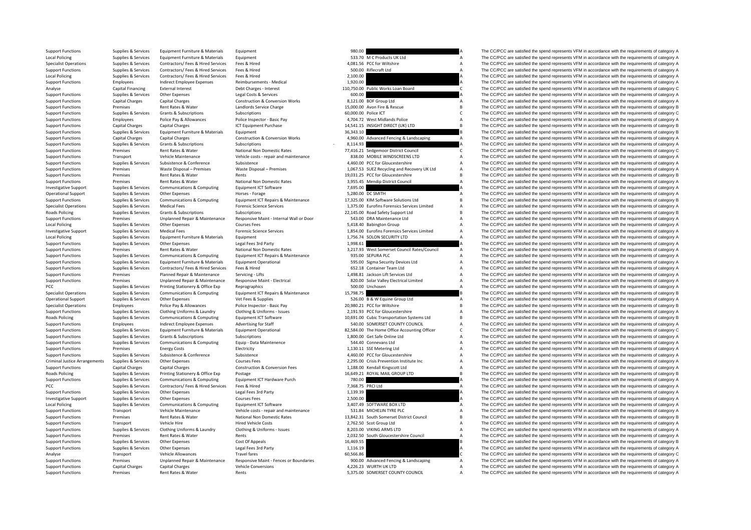| <b>Support Functions</b>             | Supplies & Services | Equipment Furniture & Materials    | Equipment                                | 980.00               |                                              |                | The CC/PCC are satisfied the spend represents VFM in accordance with the requirements of category A |
|--------------------------------------|---------------------|------------------------------------|------------------------------------------|----------------------|----------------------------------------------|----------------|-----------------------------------------------------------------------------------------------------|
| <b>Local Policing</b>                | Supplies & Services | Equipment Furniture & Materials    | Equipment                                |                      | 533.70 M C Products UK Ltd                   | $\overline{A}$ | The CC/PCC are satisfied the spend represents VFM in accordance with the requirements of category A |
| <b>Specialist Operations</b>         | Supplies & Services | Contractors/ Fees & Hired Services | Fees & Hired                             |                      | 4,081.56 PCC for Wiltshire                   | A              | The CC/PCC are satisfied the spend represents VFM in accordance with the requirements of category A |
| <b>Support Functions</b>             | Supplies & Services | Contractors/ Fees & Hired Services | Fees & Hired                             |                      | 500.00 Riflecraft Ltd                        | $\overline{A}$ | The CC/PCC are satisfied the spend represents VFM in accordance with the requirements of category A |
|                                      |                     |                                    |                                          |                      |                                              |                |                                                                                                     |
| <b>Local Policing</b>                | Supplies & Services | Contractors/ Fees & Hired Services | Fees & Hired                             | 2,100.00             |                                              |                | The CC/PCC are satisfied the spend represents VFM in accordance with the requirements of category A |
| <b>Support Functions</b>             | Employees           | Indirect Employee Expenses         | Reimbursements - Medical                 | 1,920.00             |                                              |                | The CC/PCC are satisfied the spend represents VFM in accordance with the requirements of category A |
| Analyse                              | Capital Financing   | <b>External Interest</b>           | Debt Charges - Interest                  |                      | 110,750.00 Public Works Loan Board           | C              | The CC/PCC are satisfied the spend represents VFM in accordance with the requirements of category C |
| <b>Support Functions</b>             | Supplies & Services | Other Expenses                     | Legal Costs & Services                   | 600.00               |                                              |                | The CC/PCC are satisfied the spend represents VFM in accordance with the requirements of category A |
| <b>Support Functions</b>             | Capital Charges     | <b>Capital Charges</b>             | Construction & Conversion Works          |                      | 8,121.00 BOF Group Ltd                       | $\overline{A}$ | The CC/PCC are satisfied the spend represents VFM in accordance with the requirements of category A |
|                                      |                     |                                    |                                          |                      |                                              | $\overline{B}$ | The CC/PCC are satisfied the spend represents VFM in accordance with the requirements of category B |
| <b>Support Functions</b>             | Premises            | Rent Rates & Water                 | Landlords Service Charge                 |                      | 15,000.00 Avon Fire & Rescue                 |                |                                                                                                     |
| <b>Support Functions</b>             | Supplies & Services | Grants & Subscriptions             | Subscriptions                            | 60.000.00 Police ICT |                                              | $\mathsf{C}$   | The CC/PCC are satisfied the spend represents VFM in accordance with the requirements of category C |
| <b>Support Functions</b>             | Employees           | Police Pay & Allowances            | Police Inspector - Basic Pay             |                      | 4,704.72 West Midlands Police                | $\overline{A}$ | The CC/PCC are satisfied the spend represents VFM in accordance with the requirements of category A |
| <b>Support Functions</b>             | Capital Charges     | <b>Capital Charges</b>             | <b>ICT Equipment Purchase</b>            |                      | 14,541.15 INSIGHT DIRECT (UK) LTD            | $\overline{B}$ | The CC/PCC are satisfied the spend represents VFM in accordance with the requirements of category B |
| <b>Support Functions</b>             | Supplies & Services | Equipment Furniture & Materials    | Equipment                                | 36,343.10            |                                              |                | The CC/PCC are satisfied the spend represents VFM in accordance with the requirements of category B |
| <b>Support Functions</b>             | Capital Charges     | <b>Capital Charges</b>             | Construction & Conversion Works          |                      | 4,960.00 Advanced Fencing & Landscaping      | A              | The CC/PCC are satisfied the spend represents VFM in accordance with the requirements of category A |
|                                      |                     |                                    |                                          |                      |                                              |                |                                                                                                     |
| <b>Support Functions</b>             | Supplies & Services | Grants & Subscriptions             | Subscriptions                            | 8,114.93             |                                              |                | The CC/PCC are satisfied the spend represents VFM in accordance with the requirements of category A |
| <b>Support Functions</b>             | Premises            | Rent Rates & Water                 | National Non Domestic Rates              |                      | 77,416.21 Sedgemoor District Council         | C              | The CC/PCC are satisfied the spend represents VFM in accordance with the requirements of category C |
| <b>Support Functions</b>             | Transport           | Vehicle Maintenance                | Vehicle costs - repair and maintenance   |                      | 838.00 MOBILE WINDSCREENS LTD                | $\overline{A}$ | The CC/PCC are satisfied the spend represents VFM in accordance with the requirements of category A |
| <b>Support Functions</b>             | Supplies & Services | Subsistence & Conference           | Subsistence                              |                      | 4,460.00 PCC for Gloucestershire             | $\overline{A}$ | The CC/PCC are satisfied the spend represents VFM in accordance with the requirements of category A |
| <b>Support Functions</b>             | Premises            | Waste Disposal - Premises          | Waste Disposal - Premises                |                      | 1,067.53 SUEZ Recycling and Recovery UK Ltd  | $\overline{A}$ | The CC/PCC are satisfied the spend represents VFM in accordance with the requirements of category A |
|                                      |                     |                                    |                                          |                      |                                              |                |                                                                                                     |
| <b>Support Functions</b>             | Premises            | Rent Rates & Water                 | Rents                                    |                      | 19,031.25 PCC for Gloucestershire            | $\overline{B}$ | The CC/PCC are satisfied the spend represents VFM in accordance with the requirements of category B |
| <b>Support Functions</b>             | Premises            | Rent Rates & Water                 | National Non Domestic Rates              |                      | 3,955.45 Mendip District Council             | $\overline{A}$ | The CC/PCC are satisfied the spend represents VFM in accordance with the requirements of category A |
| <b>Investigative Support</b>         | Supplies & Services | Communications & Computing         | Equipment ICT Software                   | 7,695.00             |                                              |                | The CC/PCC are satisfied the spend represents VFM in accordance with the requirements of category A |
| <b>Operational Support</b>           | Supplies & Services | Other Expenses                     | Horses - Forage                          |                      | 5,280.00 DC SMITH                            | $\overline{A}$ | The CC/PCC are satisfied the spend represents VFM in accordance with the requirements of category A |
|                                      |                     |                                    |                                          |                      |                                              | $\overline{B}$ | The CC/PCC are satisfied the spend represents VFM in accordance with the requirements of category B |
| <b>Support Functions</b>             | Supplies & Services | Communications & Computing         | Equipment ICT Repairs & Maintenance      |                      | 17,325.00 KIM Software Solutions Ltd         |                |                                                                                                     |
| <b>Specialist Operations</b>         | Supplies & Services | <b>Medical Fees</b>                | <b>Forensic Science Services</b>         |                      | 1,375.00 Eurofins Forensics Services Limited | $\overline{A}$ | The CC/PCC are satisfied the spend represents VFM in accordance with the requirements of category A |
| <b>Roads Policing</b>                | Supplies & Services | Grants & Subscriptions             | Subscriptions                            |                      | 22,145.00 Road Safety Support Ltd            | $\overline{B}$ | The CC/PCC are satisfied the spend represents VFM in accordance with the requirements of category B |
| <b>Support Functions</b>             | Premises            | Unplanned Repair & Maintenance     | Responsive Maint - Internal Wall or Door |                      | 543.00 DRA Maintenance Ltd                   | $\overline{A}$ | The CC/PCC are satisfied the spend represents VFM in accordance with the requirements of category A |
| <b>Local Policing</b>                | Supplies & Services | Other Expenses                     | <b>Courses Fees</b>                      |                      | 5,418.40 Babington Group                     | $\overline{A}$ | The CC/PCC are satisfied the spend represents VFM in accordance with the requirements of category A |
|                                      |                     |                                    |                                          |                      |                                              | $\overline{A}$ |                                                                                                     |
| <b>Investigative Support</b>         | Supplies & Services | <b>Medical Fees</b>                | <b>Forensic Science Services</b>         |                      | 1,854.00 Eurofins Forensics Services Limited |                | The CC/PCC are satisfied the spend represents VFM in accordance with the requirements of category A |
| <b>Local Policing</b>                | Supplies & Services | Equipment Furniture & Materials    | Equipment                                |                      | 1,756.74 SOLON SECURITY LTD                  | $\overline{A}$ | The CC/PCC are satisfied the spend represents VFM in accordance with the requirements of category A |
| <b>Support Functions</b>             | Supplies & Services | Other Expenses                     | Legal Fees 3rd Party                     | 1,998.61             |                                              |                | The CC/PCC are satisfied the spend represents VFM in accordance with the requirements of category A |
| <b>Support Functions</b>             | Premises            | Rent Rates & Water                 | National Non Domestic Rates              |                      | 3,217.93 West Somerset Council Rates/Council | $\overline{A}$ | The CC/PCC are satisfied the spend represents VFM in accordance with the requirements of category A |
| <b>Support Functions</b>             | Supplies & Services | Communications & Computing         | Equipment ICT Repairs & Maintenance      |                      | 935.00 SEPURA PLC                            | $\overline{A}$ | The CC/PCC are satisfied the spend represents VFM in accordance with the requirements of category A |
|                                      |                     |                                    |                                          |                      |                                              | $\overline{A}$ |                                                                                                     |
| <b>Support Functions</b>             | Supplies & Services | Equipment Furniture & Materials    | <b>Equipment Operational</b>             |                      | 595.00 Sigma Security Devices Ltd            |                | The CC/PCC are satisfied the spend represents VFM in accordance with the requirements of category A |
| <b>Support Functions</b>             | Supplies & Services | Contractors/ Fees & Hired Services | Fees & Hired                             |                      | 652.18 Container Team Ltd                    | $\overline{A}$ | The CC/PCC are satisfied the spend represents VFM in accordance with the requirements of category A |
| <b>Support Functions</b>             | Premises            | Planned Repair & Maintenance       | Servicing - Lifts                        |                      | 1,498.81 Jackson Lift Services Ltd           | $\overline{A}$ | The CC/PCC are satisfied the spend represents VFM in accordance with the requirements of category A |
| <b>Support Functions</b>             | Premises            | Unplanned Repair & Maintenance     | Responsive Maint - Electrical            |                      | 820.00 Solar Valley Electrical Limited       | $\overline{A}$ | The CC/PCC are satisfied the spend represents VFM in accordance with the requirements of category A |
| PCC                                  | Supplies & Services | Printing Stationery & Office Exp   | Reprographics                            |                      | 500.00 Unchosen                              | $\Delta$       | The CC/PCC are satisfied the spend represents VFM in accordance with the requirements of category A |
| <b>Specialist Operations</b>         | Supplies & Services | Communications & Computing         | Equipment ICT Repairs & Maintenance      | 15,798.75            |                                              |                | The CC/PCC are satisfied the spend represents VFM in accordance with the requirements of category B |
|                                      |                     |                                    |                                          |                      |                                              |                |                                                                                                     |
| <b>Operational Support</b>           | Supplies & Services | Other Expenses                     | Vet Fees & Supplies                      |                      | 526.00 B & W Equine Group Ltd                | A              | The CC/PCC are satisfied the spend represents VFM in accordance with the requirements of category A |
| <b>Specialist Operations</b>         | Employees           | Police Pay & Allowances            | Police Inspector - Basic Pay             |                      | 20,980.21 PCC for Wiltshire                  | $\overline{B}$ | The CC/PCC are satisfied the spend represents VFM in accordance with the requirements of category B |
| <b>Support Functions</b>             | Supplies & Services | Clothing Uniforms & Laundry        | Clothing & Uniforms - Issues             |                      | 2,191.93 PCC for Gloucestershire             | $\overline{A}$ | The CC/PCC are satisfied the spend represents VFM in accordance with the requirements of category A |
| <b>Roads Policing</b>                | Supplies & Services | Communications & Computing         | Equipment ICT Software                   |                      | 10.691.00 Cubic Transportation Systems Ltd   | $\overline{B}$ | The CC/PCC are satisfied the spend represents VFM in accordance with the requirements of category B |
|                                      |                     |                                    |                                          |                      |                                              |                |                                                                                                     |
| <b>Support Functions</b>             | Employees           | Indirect Employee Expenses         | <b>Advertising for Staff</b>             |                      | 540.00 SOMERSET COUNTY COUNCIL               | А              | The CC/PCC are satisfied the spend represents VFM in accordance with the requirements of category A |
| <b>Support Functions</b>             | Supplies & Services | Equipment Furniture & Materials    | <b>Equipment Operational</b>             |                      | 82,584.00 The Home Office Accounting Officer | $\mathsf{C}$   | The CC/PCC are satisfied the spend represents VFM in accordance with the requirements of category C |
| <b>Support Functions</b>             | Supplies & Services | Grants & Subscriptions             | Subscriptions                            |                      | 1,800.00 Get Safe Online Ltd                 | $\mathsf A$    | The CC/PCC are satisfied the spend represents VFM in accordance with the requirements of category A |
| <b>Support Functions</b>             | Supplies & Services | Communications & Computing         | Equip - Data Maintenence                 |                      | 544.40 Connevans Ltd                         | $\mathsf A$    | The CC/PCC are satisfied the spend represents VFM in accordance with the requirements of category A |
| <b>Support Functions</b>             | Premises            | <b>Energy Costs</b>                | Electricity                              |                      | 1,130.11 SSE Metering Ltd                    | $\overline{A}$ | The CC/PCC are satisfied the spend represents VFM in accordance with the requirements of category A |
|                                      | Supplies & Services | Subsistence & Conference           | Subsistence                              |                      |                                              | $\overline{A}$ | The CC/PCC are satisfied the spend represents VFM in accordance with the requirements of category A |
| <b>Support Functions</b>             |                     |                                    |                                          |                      | 4,460.00 PCC for Gloucestershire             |                |                                                                                                     |
| <b>Criminal Justice Arrangements</b> | Supplies & Services | Other Expenses                     | <b>Courses Fees</b>                      |                      | 2,295.00 Crisis Prevention Institute Inc     | $\overline{A}$ | The CC/PCC are satisfied the spend represents VFM in accordance with the requirements of category A |
| <b>Support Functions</b>             | Capital Charges     | <b>Capital Charges</b>             | Construction & Conversion Fees           |                      | 1,188.00 Kendall Kingscott Ltd               | $\overline{A}$ | The CC/PCC are satisfied the spend represents VFM in accordance with the requirements of category A |
| <b>Roads Policing</b>                | Supplies & Services | Printing Stationery & Office Exp   | Postage                                  |                      | 16,649.21 ROYAL MAIL GROUP LTD               | $\overline{B}$ | The CC/PCC are satisfied the spend represents VFM in accordance with the requirements of category B |
| <b>Support Functions</b>             | Supplies & Services | Communications & Computing         | Equipment ICT Hardware Purch             | 780.00               |                                              |                | The CC/PCC are satisfied the spend represents VFM in accordance with the requirements of category A |
|                                      | Supplies & Services | Contractors/ Fees & Hired Services | Fees & Hired                             |                      | 7,368.75 PRCI Ltd                            | $\overline{A}$ | The CC/PCC are satisfied the spend represents VFM in accordance with the requirements of category A |
| PCC                                  |                     |                                    |                                          |                      |                                              |                |                                                                                                     |
| <b>Support Functions</b>             | Supplies & Services | Other Expenses                     | Legal Fees 3rd Party                     | 1,139.39             |                                              |                | The CC/PCC are satisfied the spend represents VFM in accordance with the requirements of category A |
| <b>Investigative Support</b>         | Supplies & Services | Other Expenses                     | <b>Courses Fees</b>                      | 2,500.00             |                                              |                | The CC/PCC are satisfied the spend represents VFM in accordance with the requirements of category A |
| <b>Local Policing</b>                | Supplies & Services | Communications & Computing         | Equipment ICT Software                   |                      | 3,407.49 SOFTWARE BOX LTD                    | $\overline{A}$ | The CC/PCC are satisfied the spend represents VFM in accordance with the requirements of category A |
| <b>Support Functions</b>             | Transport           | Vehicle Maintenance                | Vehicle costs - repair and maintenance   |                      | 531.84 MICHELIN TYRE PLC                     | $\overline{A}$ | The CC/PCC are satisfied the spend represents VFM in accordance with the requirements of category A |
| <b>Support Functions</b>             | Premises            | Rent Rates & Water                 | National Non Domestic Rates              |                      | 13,842.31 South Somerset District Council    | $\overline{B}$ | The CC/PCC are satisfied the spend represents VFM in accordance with the requirements of category B |
|                                      |                     |                                    |                                          |                      |                                              |                |                                                                                                     |
| <b>Support Functions</b>             | Transport           | Vehicle Hire                       | <b>Hired Vehicle Costs</b>               |                      | 2,762.50 Scot Group Ltd                      | $\overline{A}$ | The CC/PCC are satisfied the spend represents VFM in accordance with the requirements of category A |
| <b>Support Functions</b>             | Supplies & Services | Clothing Uniforms & Laundry        | Clothing & Uniforms - Issues             |                      | 8,203.00 VIKING ARMS LTD                     | $\overline{A}$ | The CC/PCC are satisfied the spend represents VFM in accordance with the requirements of category A |
| <b>Support Functions</b>             | Premises            | Rent Rates & Water                 | Rents                                    |                      | 2,032.50 South Gloucestershire Council       | $\overline{A}$ | The CC/PCC are satisfied the spend represents VFM in accordance with the requirements of category A |
| <b>Support Functions</b>             | Supplies & Services | Other Expenses                     | Cost Of Appeals                          | 16,469.55            |                                              |                | The CC/PCC are satisfied the spend represents VFM in accordance with the requirements of category B |
| <b>Support Functions</b>             | Supplies & Services | Other Expenses                     | Legal Fees 3rd Party                     | 1,116.19             |                                              |                | The CC/PCC are satisfied the spend represents VFM in accordance with the requirements of category A |
|                                      |                     |                                    |                                          |                      |                                              |                |                                                                                                     |
| Analyse                              | Transport           | Vehicle Allowances                 | <b>Travel fares</b>                      | 60,566.86            |                                              |                | The CC/PCC are satisfied the spend represents VFM in accordance with the requirements of category C |
| <b>Support Functions</b>             | Premises            | Unplanned Repair & Maintenance     | Responsive Maint - Fences or Boundaries  |                      | 900.00 Advanced Fencing & Landscaping        | $\overline{A}$ | The CC/PCC are satisfied the spend represents VFM in accordance with the requirements of category A |
| <b>Support Functions</b>             | Capital Charges     | Capital Charges                    | <b>Vehicle Conversions</b>               |                      | 4,226.23 WURTH UK LTD                        | А              | The CC/PCC are satisfied the spend represents VFM in accordance with the requirements of category A |
|                                      |                     |                                    |                                          |                      |                                              |                |                                                                                                     |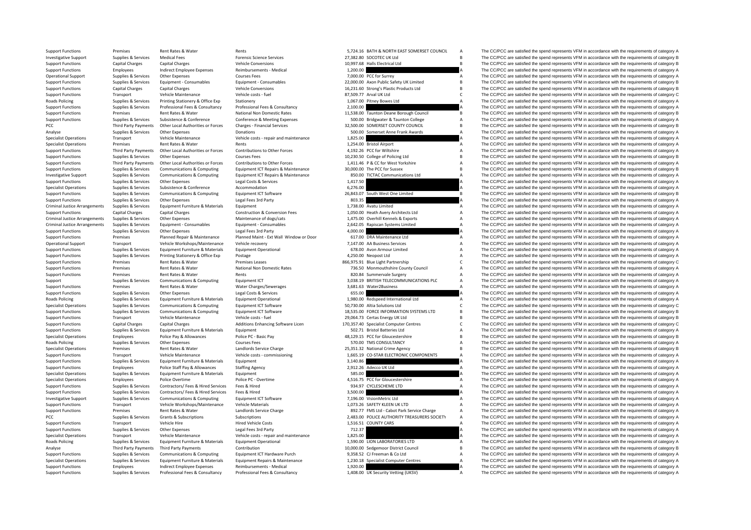RoadsCriminal JusticeCriminal JusticeCriminal Justice**Roads Policing Roads Policing Roads Policing** 

PCC Third Party Payments Other Local Authorities or Forces

|           | 5,724.16 BATH & NORTH EAST SOMERSET COUNCIL  | A |
|-----------|----------------------------------------------|---|
|           |                                              |   |
|           | 27,382.80 SOCOTEC UK Ltd                     | B |
|           | 10,997.68 Halls Electrical Ltd               | B |
| 1,200.00  |                                              | A |
|           | 7,000.00 PCC for Surrey                      | A |
|           | 22,000.00 Axon Public Safety UK Limited      | B |
|           | 16,231.60 Strong's Plastic Products Ltd      |   |
|           |                                              | B |
|           | 87,509.77 Arval UK Ltd                       | Ċ |
|           | 1,067.00 Pitney Bowes Ltd                    | Δ |
| 2,100.00  |                                              | A |
| 11,538.00 | Taunton Deane Borough Council                | B |
|           |                                              | A |
|           | 500.00 Bridgwater & Taunton College          |   |
|           | 32,500.00 SOMERSET COUNTY COUNCIL            | B |
|           | 500.00 Somerset Anne Frank Awards            | A |
| 1,825.00  |                                              | A |
|           | 1,254.00 Bristol Airport                     | A |
|           | 4,192.26 PCC for Wiltshire                   | A |
|           |                                              |   |
|           | 10,230.50 College of Policing Ltd            | B |
|           | 1,411.46 P & CC for West Yorkshire           | A |
|           | 30,000.00 The PCC for Sussex                 | B |
|           | 850.00 TICTAC Communications Ltd             | A |
| 1,417.50  |                                              | A |
|           |                                              |   |
| 6,276.00  |                                              | Δ |
| 26.843.07 | South West One Limited                       | B |
| 803.35    |                                              | A |
|           | 1,738.00 Avatu Limited                       | А |
|           | 1,050.00 Heath Avery Architects Ltd          | A |
|           |                                              |   |
|           | 1,475.00 Overhill Kennels & Exports          | Δ |
|           | 2,642.05 Rapiscan Systems Limited            | A |
| 4,000.00  |                                              | A |
|           | 617.00 DRA Maintenance Ltd                   | A |
|           | 7,147.00 AA Business Services                | A |
|           |                                              |   |
|           | 678.00 Avon Armour Limited                   | A |
|           | 4,250.00 Neopost Ltd                         | A |
|           | 866,975.91 Blue Light Partnership            | c |
|           | 736.50 Monmouthshire County Council          | A |
|           | 820.84 Summervale Surgery                    | A |
|           |                                              |   |
|           |                                              |   |
|           | 3,038.19 BRITISH TELECOMMUNICATIONS PLC      | A |
|           | 3,681.63 Water2Business                      | A |
| 655.00    |                                              | A |
|           |                                              |   |
|           | 1,980.00 Redspeed International Ltd          | A |
|           | 50,730.00 Altia Solutions Ltd                | C |
|           | 18,535.00 FORCE INFORMATION SYSTEMS LTD      | B |
|           | 29,064.73 Certas Energy UK Ltd               | B |
|           | 170,357.40 Specialist Computer Centres       | C |
|           |                                              | A |
|           | 502.71 Bristol Batteries Ltd                 |   |
|           | 48,129.15 PCC for Gloucestershire            | B |
|           | 570.00 TMS CONSULTANCY                       | A |
|           | 25,351.32 National Crime Agency              | B |
|           | 1,665.19 CO-STAR ELECTRONIC COMPONENTS       | A |
| 3,140.86  |                                              | A |
| 2,912.26  | Adecco UK Ltd                                | A |
|           |                                              | Δ |
| 585.00    |                                              |   |
| 4,516.75  | PCC for Gloucestershire                      | Α |
|           | 934.97 CYCLESCHEME LTD                       | Δ |
| 3,500.00  |                                              | Δ |
| 7,196.00  | VisionMetric Ltd                             | A |
|           |                                              | A |
|           | 1,073.26 SAFETY KLEEN UK LTD                 |   |
|           | 892.77 FMS Ltd - Cabot Park Service Charge   | A |
|           | 2,483.00 POLICE AUTHORITY TREASURERS SOCIETY | A |
|           | 1,516.51 COUNTY CARS                         | A |
|           |                                              | Α |
| 712.37    |                                              | A |
| 1,825.00  |                                              |   |
|           | 1,590.00 LION LABORATORIES LTD               | Δ |
|           | 10,000.00 Sedgemoor District Council         | B |
|           | 9,358.52 CJ Freeman & Co Ltd                 | A |
| 1,230.18  |                                              | A |
| 1,920.00  | <b>Specialist Computer Centres</b>           | A |

Support Functions Premises Rent Rates & Water Rents 5,724.16 BATH & NORTH EAST SOMERSET COUNCIL A The CC/PCC are satisfied the spend represents VFM in accordance with the requirements of category A Investigative Support Supplies & Services Medical Fees Forensic Science Services 27,382.80 SOCOTEC UK Ltd B The CC/PCC are satisfied the spend represents VFM in accordance with the requirements of category B Support Functions Capital Charges Capital Charges Vehicle Conversions Vehicle Conversions 10,997.68 Halls Electrical Ltd B The CC/PCC are satisfied the spend represents VFM in accordance with the requirements of category B Support Functions Employees and indirect Employee Expenses Reimbursements - Medical 1,200.00 Manual 1,200.00 Manual 1,200.00 Manual A The CC/PCC are satisfied the spend represents VFM in accordance with the requirements of Ourses Fees Courses Fees 7,000.00 PCC for Surrey A The CC/PCC are satisfied the spend represents VFM in accordance with the requirements of category A Supplies & Services Equipment - Consumables Consumables Equipment - Consumables Consumables Equipment - Consumables Consumables (Consumables 22,000,00 Axon Public Safety UK Limited B The CC/PCC are satisfied the spend repr Support Functions Capital Charges Capital Charges Vehicle Conversions 16,231.60 Strong's Plastic Products Ltd B The CC/PCC are satisfied the spend represents VFM in accordance with the requirements of category B Support Functions Transport Vehicle Maintenance Vehicle costs - fuel 87,509.77 Arval UK Ltd C The CC/PCC are satisfied the spend represents VFM in accordance with the requirements of category C Supplies & Services Printing Stationery & Office Exp Stationery 1,067.00 Pitney Bowes Ltd A The CC/PCC are satisfied the spend represents VFM in accordance with the requirements of category A Support Functions Supplies & Services Professional Fees & Consultancy Professional Fees & Consultancy Professional Fees & Consultancy A Z.100.00 A The CC/PCC are satisfied the spend represents VFM in accordance with the re Support Functions Premises Rent Rates & Water National Non Domestic Rates 11,538.00 Taunton Deane Borough Council B The CC/PCC are satisfied the spend represents VFM in accordance with the requirements of category B Confer Sunnort Eunctions Sunning & Services Subsistence Conference Conference Conference Supering Supering Engine Supering Supering Supering Supering Supering Supering Supering Supering Supering Supering Supering Supering Superin Charges - Financial Services 2000 SOMERSET COUNTY COUNCIL B The CC/PCC are satisfied the spend represents VFM in accordance with the requirements of category B Analyse Supplies & Services Other Expenses Donations Donations Donations Donations Donations Donations Supplies A The CC/PCC are satisfied the spend represents VFM in accordance with the requirements of category A Vehicle Transport Vehicle Maintenance Vehicle costs ‐ repair and maintenance 1,825.00 1,825.00 A The CC/PCC are satisfied the spend represents VFM in accordance with the requirements of category A Specialist Operations Premises Rent Rates & Water Rents 1,254.00 Bristol Airport A The CC/PCC are satisfied the spend represents VFM in accordance with the requirements of category A Support Functions Third Party Payments Other Local Authorities or Forces Contributions to Other Forces contributions of Other Forces 4.192.26 PCC for Wiltshire A The CC/PCC are satisfied the spend represents VFM in accorda Support Functions Supplies & Services Other Expenses Courses Fees Courses Fees 10,230.50 College of Policing Ltd B The CC/PCC are satisfied the spend represents VFM in accordance with the requirements of category B Courses Support Functions Third Party Payments Other Local Authorities or Forces Contributions to Other Forces that there is a manufacture of the contributions of Other Forces and the COVES of the COVES of the Section of The COVES Support Functions Supplies & Services Communications & Computing Equipment ICT Repairs & Maintenance 30,000.00 The PCC for Sussex B The CC/PCC are satisfied the spend represents VFM in accordance with the requirements of c The CC/PCC are satisfied the spend represents VFM in accordance with the requirements of category A Support Functions Supplies & Services Other Expenses Legal Costs & Services 1,417.50 A The CC/PCC are satisfied the spend represents VFM in accordance with the requirements of category A Specialist Operations Supplies & Services Subsistence  $\alpha$  Accommodation Accommodation 6,276.00 A The CC/PCC are satisfied the spend represents VFM in accordance with the requirements of category A Support Functions Supplies & Services Communications & Computing Equipment ICT Software 26,843.07 South West One Limited B The CC/PCC are satisfied the spend represents VFM in accordance with the requirements of category B The CC/PCC are satisfied the spend represents VFM in accordance with the requirements of category A Supplies & Services Equipment Europeinture & Materials Equipment 1, 1,738.00 Avatu Limited A The CC/PCC are satisfied the spend represents VFM in accordance with the requirements of category A Support Functions Capital Charges Capital Charges Construction & Conversion Fees 1,050.00 Heath Avery Architects Ltd A The CC/PCC are satisfied the spend represents VFM in accordance with the requirements of category A Arrangements Supplies Arrangements Supplies Maintenance of dogs/cats and the Services 1,475.00 Overhill Kennels & Exports A The CC/PCC are satisfied the spend represents VFM in accordance with the requirements of category The CC/PCC are satisfied the spend represents VFM in accordance with the requirements of category A Support Functions Supplies & Services Other Expenses Legal Fees 3rd Party Legal Fees 3rd Party 4,000.00 4,000.00 4,000.00 A The CC/PCC are satisfied the spend represents VFM in accordance with the requirements of category Support Functions Premises Planned Repair & Maintenance Planned Maint Ext Wall Window or Door 617.00 DRA Maintenance Ltd A The CC/PCC are satisfied the spend represents VFM in accordance with the requirements of category A Operational Support Transport Vehicle Workshops/Maintenance Vehicle recovery 7,147.00 AA Business Services A The CC/PCC are satisfied the spend represents VFM in accordance with the requirements of category A Support Funct The CC/PCC are satisfied the spend represents VFM in accordance with the requirements of category A Support Functions Supplies & Services Printing Stationery & Office Exp Postage Protage and A 4,250.00 Neopost Ltd A The CC/PCC are satisfied the spend represents VFM in accordance with the requirements of category A Support Functions Premises Rent Rates & Water Premises Leases 866,975.91 Blue Light Partnership C The CC/PCC are satisfied the spend represents VFM in accordance with the requirements of category C Support Functions Premises Rent Rates & Water National Non Domestic Rates 736.50 Monmouthshire County Council A The CC/PCC are satisfied the spend represents VFM in accordance with the requirements of category A Support Functions Premises Premises Rent Rates & Water Rents Rents Rents Rents Rents Rents Rents Rents Rents Rents Rents Rents Rents Rents Rents Rents Rents Rent Rents Rent Rents Rents Rents Rents Rents Rents Rents Rents R Support Supplies & Services Communications & Computing Equipment ICT 3,038.19 BRITISH TELECOMMUNICATIONS PLC A The CC/PCC are satisfied the spend represents VFM in accordance with the requirements of category A Support Functions Premises Rent Rates & Water Water Charges/Sewerages 3,681.63 Water 2Business A The CC/PCC are satisfied the spend represents VFM in accordance with the requirements of category A Support Functions Supplies & Services Other Expenses Legal Costs & Services 655.00 A The CC/PCC are satisfied the spend represents VFM in accordance with the requirements of category A Policing Supplies & Services Equipment Furniture & Materials Equipment Operational 1,980.00 Redspeed International Ltd A The CC/PCC are satisfied the spend represents VFM in accordance with the requirements of category A S Specialist Operations Supplies Accordance Communications Communications Computing Computing Computing Computing Computing Computing Computing Computing Computing Computing Computing Computing Computing Computing Computing Support Functions Supplies & Services Communications & Communications & Communications & Communications & Communications Functions Functions Functions and Engine COPCC are satisfied the spend represents VEM in accordance w Support Functions Transport Vehicle Maintenance Vehicle costs - fuel Vehicle costs - fuel 29,064.73 Certas Energy UK Ltd B The CC/PCC are satisfied the spend represents VFM in accordance with the requirements of category B Capital Charges Capital Charges Capital Charges Additions Enhancing Software Licen 170,357.40 Specialist Computer Centres Capital Charges Capital Charges Capital Charges Additions Enhancing Software Licen 170,357.40 Specia Equipment Functions Support Functions Supplies A The CC/PCC are satisfied the spend represents VFM in accordance with the requirements of category A The CC/PCC are satisfied the spend represents VFM in accordance with the Specialist Operations Employees Police Pay & Allowances Police PC - Basic Pay 48,129.15 PCC for Gloucestershire B The CC/PCC are satisfied the spend represents VFM in accordance with the requirements of category B Policing Supplies & Services Other Expenses Courses Fees Courses Fees 570.00 TMS CONSULTANCY 570.00 TMS CONSULTANCY A The CC/PCC are satisfied the spend represents VFM in accordance with the requirements of category A requ Specialist Operations Reprises Rent Rates & Mater Landlords Service Charge 25,351.32 National Crime Agency B The CC/PCC are satisfied the spend represents VFM in accordance with the requirements of category B Support Functions Transport Vehicle Maintenance Vehicle costs ‐ commissioning 1,665.19 CO‐STAR ELECTRONIC COMPONENTS A The CC/PCC are satisfied the spend represents VFM in accordance with the requirements of category A Support Functions Supplies & Services Equipment Functions & Materials Equipment 3,140.86 A The CC/PCC are satisfied the spend represents VFM in accordance with the requirements of category A Support Functions Employees Police Staff Pay & Allowances Staffing Agency 2,912.26 Adecco UK Ltd A The CC/PCC are satisfied the spend represents VFM in accordance with the requirements of category A Specialist Operations Supplies & Services Equipment Equipment Functions and Equipment Constructions and The CC/PCC are satisfied the spend represents VFM in accordance with the requirements of category A The CC/PCC are sat Specialist Operations Employees Police Overtime Police PC - Overtime Police PC - Overtime 4,516.75 PCC for Gloucestershire A The CC/PCC are satisfied the spend represents VFM in accordance with the requirements of category Support Functions Support Contractors/ Fees & Hired Services Fees & Hired 934.97 CYCLESCHEME LTD A The CC/PCC are satisfied the spend represents VFM in accordance with the requirements of category A Support Functions Supplies & Services Contractors/ Fees & Hired Services Fees & Hired 3,500.00 3,500.00 A The CC/PCC are satisfied the spend represents VFM in accordance with the requirements of category A Support Technolo Investigative Support Supplies & Services Communications & Computing Equipment ICT Software 7,196.00 VisionMetric Ltd A The CC/PCC are satisfied the spend represents VFM in accordance with the requirements of category A Th Support Functions Transport Vehicle Workshops/Maintenance Vehicle Materials 1,073.26 SAFETY KLEEN UK LTD A The CC/PCC are satisfied the spend represents VFM in accordance with the requirements of category A Support Functions Premises Rent Rates & Water Landlords Service Charge 892.77 FMS Ltd - Cabot Park Service Charge A The CC/PCC are satisfied the spend represents VFM in accordance with the requirements of category A PCC Supplies & Services Grants & Subscriptions Subscriptions Subscriptions 2,483.00 POLICE AUTHORITY TREASURERS SOCIETY A The CC/PCC are satisfied the spend represents VFM in accordance with the requirements of category A Support Functions Transport Vehicle Hire Hire Hired Vehicle Costs 1,516.51 COUNTY CARS A The CC/PCC are satisfied the spend represents VFM in accordance with the requirements of category A Support Functions Supplies & Services Other Expenses Legal Fees 3rd Party 712.37 712.37 A The CC/PCC are satisfied the spend represents VFM in accordance with the requirements of category A Specialist Operations Transport Vehicle Maintenance Vehicle costs - repair and maintenance 1,825.00 A The CC/PCC are satisfied the spend represents VFM in accordance with the requirements of category A<br>Roads Policing Suppl Policing Supplies & Services Equipment Furniture & Materials Equipment Operational 1,590.00 LION LABORATORIES LTD A The CC/PCC are satisfied the spend represents VFM in accordance with the requirements of category A Analyse Third Party Payments Third Party Payments Contribution Contribution Contribution 10,000.00 Sedgemoor District Council B The CC/PCC are satisfied the spend represents VFM in accordance with the requirements of categ The CC/PCC are satisfied the spend represents VFM in accordance with the requirements of category A Suppliers Suppliers Suppliers For Form Furniture & Materials Foulter Furniture Form Furniture & Materials Foulter Recairs & Materian Furniture Boairs & Materian Furniture Boairs & Materians For Form 1.230.18 Specialist Com Support Functions Employees Indirect Employee Expenses Reimbursements - Medical 1,920.00 A The CC/PCC are satisfied the spend represents VFM in accordance with the requirements of category A Support Functions Supplies & Services Professional Fees & Consultancy Professional Fees & Consultancy Professional Fees & Consultancy Professional Fees & Consultancy Professional Fees & Consultancy Material Vistory Materia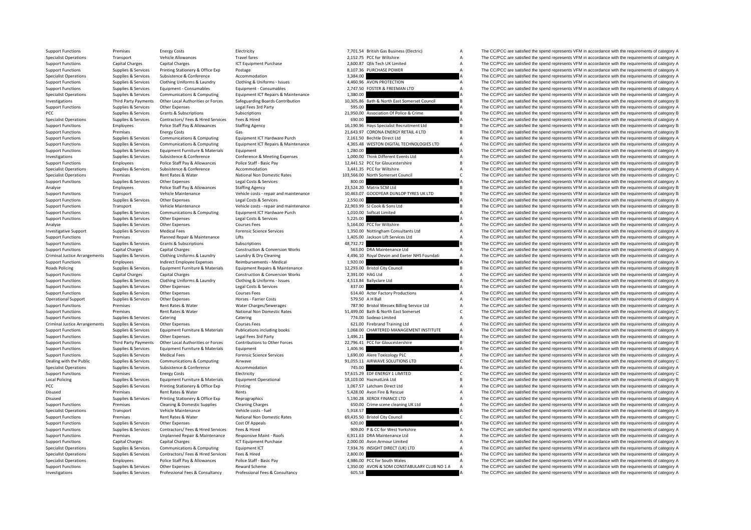Criminal Justice**Roads Policing** Criminal Justice**Local Policing** Disused **Premises**  Rates &

|                              | 7,701.54 British Gas Business (Electric)                                   | A        |
|------------------------------|----------------------------------------------------------------------------|----------|
|                              | 2,152.75 PCC for Wiltshire                                                 | A        |
|                              | 2,600.87 Qlik Tech UK Limited                                              | A        |
|                              | 8,107.36 PURCHASE POWER                                                    | A        |
| 3,384.00                     |                                                                            | A        |
|                              | 4,460.96 AVON PROTECTION                                                   | A        |
|                              | 2,747.50 FOSTER & FREEMAN LTD                                              | A        |
| 1,380.00                     |                                                                            | A        |
|                              | 10,305.86 Bath & North East Somerset Council                               | B        |
| 595.00                       |                                                                            | Δ        |
|                              | 21,950.00 Association Of Police & Crime                                    | B        |
| 690.00                       |                                                                            | A        |
|                              | 16,190.96 Hays Specialist Recruitment Ltd                                  | B        |
|                              | 21,643.97 CORONA ENERGY RETAIL 4 LTD<br>2,161.50 Bechtle Direct Ltd        | B<br>A   |
|                              | 4,365.48 WESTON DIGITAL TECHNOLOGIES LTD                                   | Δ        |
| 1,280.00                     |                                                                            | A        |
|                              | 1,000.00 Think Different Events Ltd                                        | A        |
|                              | 12,441.52 PCC for Gloucestershire                                          | B        |
|                              | 3,441.35 PCC for Wiltshire                                                 | A        |
|                              | 103,566.00 North Somerset Council                                          | Ċ        |
| 800.00                       |                                                                            | Δ        |
|                              | 23,524.20 Matrix SCM Ltd                                                   | B        |
|                              | 10,463.07 GOODYEAR DUNLOP TYRES UK LTD                                     | B        |
| 2,550.00                     |                                                                            | A        |
|                              | 22,903.99 SJ Cook & Sons Ltd                                               | B        |
|                              | 1,010.00 Softcat Limited                                                   | A        |
| 5,225.00                     |                                                                            | A        |
|                              | 5,164.00 PCC for Wiltshire                                                 | A        |
|                              | 1,350.00 Nottingham Consultants Ltd                                        | A        |
|                              | 1,405.00 Jackson Lift Services Ltd                                         | A        |
| 48,732.72                    |                                                                            | B<br>A   |
|                              | 563.00 DRA Maintenance Ltd<br>4,496.10 Royal Devon and Exeter NHS Foundati | A        |
|                              |                                                                            |          |
|                              |                                                                            |          |
| 1,920.00                     |                                                                            | A        |
|                              | 12,293.00 Bristol City Council                                             | B        |
| 2,391.00 HAG Ltd<br>4,513.84 |                                                                            | A<br>A   |
|                              | <b>Ballyclare Ltd</b>                                                      | $\Delta$ |
| 837.00                       | 614.40 Actor Factory Productions                                           | A        |
|                              | 579.50 A H Ball                                                            | A        |
|                              | 787.90 Bristol Wessex Billing Service Ltd                                  | A        |
|                              | 51,499.00 Bath & North East Somerset                                       | C        |
|                              | 774.00 Sodexo Limited                                                      | A        |
|                              | 621.00 Firebrand Training Ltd                                              | A        |
|                              | 1,068.00 CHARTERED MANAGEMENT INSTITUTE                                    | A        |
| 1,496.21                     |                                                                            | A        |
| 22,796.41                    | PCC for Gloucestershire                                                    | B        |
| 1,406.96                     |                                                                            | A<br>A   |
|                              | 1,690.00 Alere Toxicology PLC                                              |          |
| 745.00                       | 91,055.11 AIRWAVE SOLUTIONS LTD                                            | C<br>A   |
|                              | 57,615.29 EDF ENERGY 1 LIMITED                                             | Ċ        |
|                              | 18,103.00 HazmatLink Ltd                                                   | B        |
|                              | 1,067.57 Latcham Direct Ltd                                                | A        |
|                              | 5,428.00 Avon Fire & Rescue                                                | A        |
|                              | 5,190.28 XEROX FINANCE LTD                                                 | A        |
|                              | 650.00 Crime scene cleaning UK Ltd                                         | A        |
| 5,918.57                     |                                                                            | A        |
| 69,435.50                    | <b>Bristol City Council</b>                                                | Ċ        |
| 620.00                       |                                                                            | A        |
|                              | 909.00 P & CC for West Yorkshire                                           | Δ        |
|                              | 6,911.63 DRA Maintenance Ltd                                               | A        |
|                              | 2,000.00 Avon Armour Limited                                               | A        |
| 2,800.00                     | 7,934.76 INSIGHT DIRECT (UK) LTD                                           | A<br>A   |
|                              | 4,986.00 PCC for South Wales                                               | A        |
|                              | 1,350.00 AVON & SOM CONSTABULARY CLUB NO 1 A                               | Δ        |

Support Functions Premises Energy Costs Electricity Electricity Electricity and the material of the spend represents of category A The CC/PCC are satisfied the spend represents VFM in accordance with the requirements of ca Specialist Operations Transport Vehicle Allowances Travel fares Travel fares a text and the spend the spend represents VFM in accordance with the requirements of category A The CC/PCC are satisfied the spend represents VFM Support Functions Capital Charges Capital Charges ICT Equipment Purchase 2,600.87 Qlik Tech UK Limited A The CC/PCC are satisfied the spend represents VFM in accordance with the requirements of category A Support Functions Supplies & Services Printing Stationery & Office Exp Postage Postage 8,107.36 PURCHASE POWER A The CC/PCC are satisfied the spend represents VFM in accordance with the requirements of category A Support o The CC/PCC are satisfied the spend represents VFM in accordance with the requirements of category A Support Functions Supplies & Services Clothing Uniforms & Laundry Clothing & Uniforms - Issues 4,460.96 AVON PROTECTION A The CC/PCC are satisfied the spend represents VFM in accordance with the requirements of category A Support Functions Supplies & Services Equipment - Consumables Equipment - Consumables Equipment - Consumables Equipment - Consumables 2,747.50 FOSTER & FREEMAN LTD A The CC/PCC are satisfied the spend represents VFM in acc Specialist Operations Supplies & Services Communications & Computing Foulyment ICT Repairs & Maintenance 1,380.00 1,380.00 A The CC/PCC are satisfied the spend represents VFM in accordance with the requirements of category Third Party Payments Other Local Authorities or Forces Safeguarding Boards Contribution 10.305.86 Bath & North East Somerset Council Boards Contribution Boards Contribution 10.305.86 Bath & North East Somerset Council Boar Support Functions Supplies & Services Other Expenses Legal Fees 3rd Party 595.00 595.00 A The CC/PCC are satisfied the spend represents VFM in accordance with the requirements of category A PCC Supplies & Services Grants & Subscriptions Subscriptions Subscriptions 21,950.00 Association Of Police & Crime B The CC/PCC are satisfied the spend represents VFM in accordance with the requirements of category B Servi Specialist Operations Supplies & Services Contractors/ Fees & Hired Services Fees & Hired Services Fees & Hired 690.00 A The CC/PCC are satisfied the spend represents VFM in accordance with the requirements of category A Support Functions Employees Police Staff Pay & Allowances Staffing Agency 16,190.96 Hays Specialist Recruitment Ltd B The CC/PCC are satisfied the spend represents VFM in accordance with the requirements of category B Support Functions Premises Energy Costs Gas Gas Gas 21,643.97 CORONA ENERGY RETAIL 4 LTD B The CC/PCC are satisfied the spend represents VFM in accordance with the requirements of category B<br>Support Functions Support of Co Support Functions Supplies & Services Communications & Computing Equipment ICT Hardware Purch 2,161.50 Bechtle Direct Ltd A The CC/PCC are satisfied the spend represents VFM in accordance with the requirements of category Support Functions Supplies & Services Communications & Computing Equipment ICT Repairs & Maintenance 4,365.48 WESTON DIGITAL TECHNOLOGIES LTD A The CC/PCC are satisfied the spend represents VFM in accordance with the requi Support Functions Supplies & Services Equipment Furniture & Materials Equipment 1,280.00 4 1,280.00 A The CC/PCC are satisfied the spend represents VFM in accordance with the requirements of category A Investigations Sunniles & Services Subsistence & Conference Conference Conference Subsistence Conference Conference Conference Subsister Conference Subsister Subsister Conference Conference Subsister Subsister Subsister Co Support Functions Employees Police Staff Pay & Allowances Police Staff - Basic Pay 12,441.52 PCC for Gloucestershire B The CC/PCC are satisfied the spend represents VFM in accordance with the requirements of category B Specialist Operations Supplies & Services Subsistence Subsistence Accommodation Accommodation 3,441.35 PCC for Wiltshire A The CC/PCC are satisfied the spend represents VFM in accordance with the requirements of category A The CC/PCC are satisfied the spend represents VFM in accordance with the requirements of category C Support Functions Supplies & Services Other Expenses Legal Costs & Services 800.00 800.00 A The CC/PCC are satisfied the spend represents VFM in accordance with the requirements of category A Analyse Employees Police Staff Pay & Allowances Staffing Agency 23,524.20 Matrix SCM Ltd B The CC/PCC are satisfied the spend represents VFM in accordance with the requirements of category B Transport Vehicle Maintenance Vehicle costs - repair and maintenance and the search of the CO/PCC are satisfied the spend represents VFM in accordance with the requirements of category B<br>The CO/PCC are satisfied the spend The CC/PCC are satisfied the spend represents VFM in accordance with the requirements of category A  $S$ upport Functions Transport Vehicle Maintenance Vehicle costs – repair and maintenance 22,903.99 SJ Cook & Sons Ltd B The CC/PCC are satisfied the spend represents VFM in accordance with the requirements of category B Support Functions Supplies & Services Communications & Computing Equipment ICT Hardware Purch 1,010.00 Softcat Limited A The CC/PCC are satisfied the spend represents VFM in accordance with the requirements of category A Support Functions Supplies & Services Other Expenses Legal Costs & Services S.255.00 A The CC/PCC are satisfied the spend represents VFM in accordance with the requirements of category A A A The CC/PCC are satisfied the sp Analyse Supplies & Services Other Expenses Courses Fees Courses Fees 5,164.00 PCC for Wiltshire A The CC/PCC are satisfied the spend represents VFM in accordance with the requirements of category A Investigative Support Supplies & Services Medical Fees Forensic Science Services Forensic Science Services 1,350.00 Nottingham Consultants Ltd A The CC/PCC are satisfied the spend represents VFM in accordance with the requ Support Functions Premises Planned Repair & Maintenance Lifts 1,405.00 Jackson Lift Services Ltd A The CC/PCC are satisfied the spend represents VFM in accordance with the requirements of category A Support Functions Supplies & Subscriptions Subscriptions Subscriptions and Subscriptions and Subscriptions and Subscriptions and the spend represents VFM in accordance with the requirements of category B Subscriptions Cons The CC/PCC are satisfied the spend represents VFM in accordance with the requirements of category A Supplies & Services Clothing Uniforms & Laundry Laundry & Dry Cleaning Calegory A 496.10 Royal Devon and Exeter NHS Foundati A The CC/PCC are satisfied the spend represents VFM in accordance with the requirements of catego Support Functions Employees Indirect Employee Expenses Reimbursements - Medical 1,920.00 A The CC/PCC are satisfied the spend represents VFM in accordance with the requirements of category A Supplies & Services Equipment Furniture & Materials Equipment Repairs & Maintenance 12,293.00 Bristol City Council 6 The CC/PCC are satisfied the spend represents VFM in accordance with the requirements of category B Support Functions Capital Charges Capital Charges Capital Charges Capital Charges Capital Charges Construction & Conversion Works 2,391.00 HAG Ltd A The CC/PCC are satisfied the spend represents VFM in accordance with the The CC/PCC are satisfied the spend represents VFM in accordance with the requirements of category A Support Functions Supplies & Services Other Expenses Legal Costs & Services 837.00 A The CC/PCC are satisfied the spend represents VFM in accordance with the requirements of category A Support Functions Supplies & Services Other Expenses Courses Fees Courses Fees 614.40 Actor Factory Productions A The CC/PCC are satisfied the spend represents VFM in accordance with the requirements of category A Operational Support Supplies & Services Other Expenses Morses Farrier Costs Horses Farrier Costs 579.50 A H Ball A The CC/PCC are satisfied the spend represents VFM in accordance with the requirements of category A Support Support Functions Premises Rent Rates & Water Water Charges/Sewerages Material Premises and the Service Ltd A The CC/PCC are satisfied the spend represents VFM in accordance with the requirements of category A The Creatisf Support Functions Premises Rent Rates & Water National Non Domestic Rates 51,499.00 Bath & North East Somerset C The CC/PCC are satisfied the spend represents VFM in accordance with the requirements of category C Support Functions Supplies & Services Catering Catering Catering Catering Catering Catering Catering Catering Catering Catering Catering The CO/PCC are satisfied the spend represents VFM in accordance with the requirements Arrangements Supplies Arrangements Supplies Supplies Courses Fees Courses Fees Courses Fees 621.00 Firebrand Training Ltd A The CC/PCC are satisfied the spend represents VFM in accordance with the requirements of category Support Functions Supplies & Services Equipment Furniture & Materials Publications including books 1,068.00 CHARTERED MANAGEMENT INSTITUTE A The CC/PCC are satisfied the spend represents VFM in accordance with the requirem Support Functions Supplies & Services Other Expenses Legal Fees 3rd Party 1,496.21 1,496.21 A The CC/PCC are satisfied the spend represents VFM in accordance with the requirements of category A Support Functions Third Party Payments Other Local Authorities or Forces Contributions to Other Forces contributions of Other Forces 22.796.41 PCC for Gloucestershire B The CC/PCC are satisfied the spend represents VFM in Support Functions Supplies & Services Equipment Functions & Materials Equipment 1,406.96 A The CC/PCC are satisfied the spend represents VFM in accordance with the requirements of category A Support Functions Supplies & Services Medical Fees Forensic Science Services Forensic Science Services 1,690.00 Alere Toxicology PLC A The CC/PCC are satisfied the spend represents VFM in accordance with the requirements o Dealing with the Public Supplies & Services Communications & Computing Airwave Airwave 91,055.11 AIRWAVE SOLUTIONS LTD C The CC/PCC are satisfied the spend represents VFM in accordance with the requirements of category C Specialist Operations Supplies & Services Subsistence  $\alpha$  Accommodation Accommodation 745.00 A The CC/PCC are satisfied the spend represents VFM in accordance with the requirements of category A Support Functions Support Functions Energy Costs Support Functions Energy Contriguing COSTS ENERGY 1 LIMITED C The CC/PCC are satisfied the spend represents VFM in accordance with the requirements of category C Policing Supplies & Services Equipment Furniture & Materials Equipment Operational 18,103.00 HazmatLink Ltd B The CC/PCC are satisfied the spend represents VFM in accordance with the requirements of category B PCC Supplies & Services Printing Stationery & Office Exp Printing Printing 1,067.57 Latcham Direct Ltd A The CC/PCC are satisfied the spend represents VFM in accordance with the requirements of category A Rents Fire CO/PCC are satisfied the spend represents VFM in accordance with the requirements of category A The CO/PCC are satisfied the spend represents VFM in accordance with the requirements of category A The CO/PCC are Disused Supplies Services Printing Stationery & Office Exp Reprographics 5,190.28 XEROX FINANCE LTD A The CC/PCC are satisfied the spend represents VFM in accordance with the requirements of category A Support Functions Premises Cleaning & Domestic Supplies Cleaning Charges Cleaning Charges 650.00 Crime scene cleaning UK Ltd A The CC/PCC are satisfied the spend represents VFM in accordance with the requirements of catego Specialist Operations Transport Vehicle Maintenance Vehicle costs - fuel Vehicle costs - fuel Vehicle costs - fuel Vehicle costs - fuel Vehicle costs - fuel Vehicle costs - fuel Vehicle costs - fuel Vehicle costs - fuel Ve Support Functions Premises Rent Rates Rent Rates National Non Domestic Rates 69,435.50 Bristol City Council C The CC/PCC are satisfied the spend represents VFM in accordance with the requirements of category C Support Functions Supplies & Services Other Expenses Cost Of Appeals Cost Of Appeals Cost Of Appeals Cost Of Appeals 620.00 A The CC/PCC are satisfied the spend represents VFM in accordance with the requirements of categor Support Functions Supplies & Services Contractors/ Fees & Hired Services Fees & Hired 909.00 P & CC for West Yorkshire A The CC/PCC are satisfied the spend represents VFM in accordance with the requirements of category A Support Functions Premises Unplanned Repair & Maintenance Responsive Maint - Roofs 6,911.63 DRA Maintenance Ltd A The CC/PCC are satisfied the spend represents VFM in accordance with the requirements of category A Category Support Functions Capital Charges Capital Charges ICT Equipment Purchase 2,000.00 Avon Armour Limited A The CC/PCC are satisfied the spend represents VFM in accordance with the requirements of category A Specialist Operations Supplies & Services Communications & Computing Equipment ICT 10 7,934.76 INSIGHT DIRECT (UK) LTD A The CC/PCC are satisfied the spend represents VFM in accordance with the requirements of category A<br>S The CC/PCC are satisfied the spend represents VFM in accordance with the requirements of category A Specialist Operations Employees Police Staff Pay & Allowances Police Staff - Basic Pay 4,986.00 PCC for South Wales A The CC/PCC are satisfied the spend represents VFM in accordance with the requirements of category A Support Functions Supplies & Services Other Expenses Reward Scheme 1,350.00 AVON & SOM CONSTABULARY CLUB NO 1 A The CC/PCC are satisfied the spend represents VFM in accordance with the requirements of category A Investigations Supplies & Services Professional Fees & Consultancy Professional Fees & Consultancy Consultancy 605.58 A The CC/PCC are satisfied the spend represents VFM in accordance with the requirements of category A